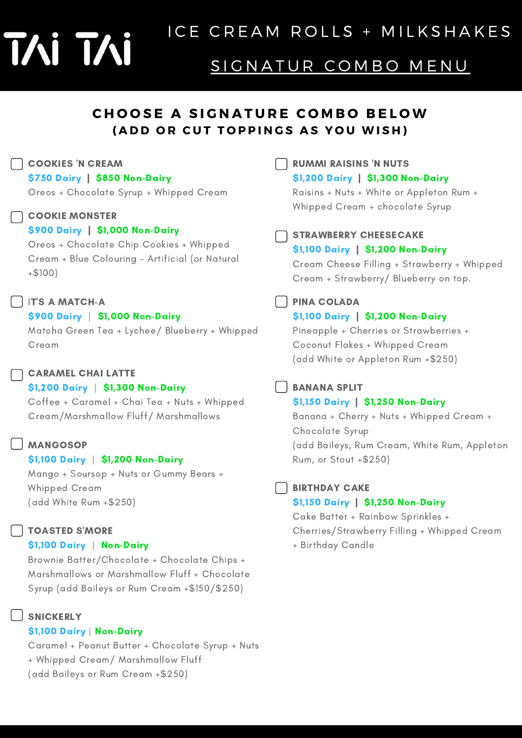# T⁄Ni T⁄Ni

## SIGNATUR COMBO MENU

## **CHOOSE A SIGNATURE COMBO BELOW** (ADD OR CUT TOPPINGS AS YOU WISH)

#### COOKIES 'N CREAM

\$750 Dairy | \$850 Non-Dairy

Oreos + Chocolate Syrup + Whipped Cream

#### **COOKIE MONSTER**

#### \$900 Dairy | \$1,000 Non-Dairy

Oreos + Chocolate Chip Cookies + Whipped Cream + Blue Colouring - Artificial (or Natural +\$100)

#### IT'S A MATCH-A

#### \$900 Dairy | \$1,000 Non-Dairy

Matcha Green Tea + Lychee/ Blueberry + Whipped Cream

#### CARAMEL CHAI LATTE

#### \$1,200 Dairy | \$1,300 Non-Dairy

Coffee + Caramel + Chai Tea + Nuts + Whipped Cream/Marshmallow Fluff/ Marshmallows

#### **MANGOSOP**

#### \$1,100 Dairy | \$1,200 Non-Dairy

Mango + Soursop + Nuts or Gummy Bears + Whipped Cream (add White Rum +\$250)

#### TOASTED S'MORE

#### \$1,100 Dairy | Non-Dairy

Brownie Batter/Chocolate + Chocolate Chips + Marshmallows or Marshmallow Fluff + Chocolate Syrup (add Baileys or Rum Cream +\$150/\$250)

#### SNICKERLY

#### \$1,100 Dairy | Non-Dairy

Caramel + Peanut Butter + Chocolate Syrup + Nuts + Whipped Cream/ Marshmallow Fluff (add Baileys or Rum Cream +\$250)

RUMMI RAISINS 'N NUTS

#### \$1,200 Dairy | \$1,300 Non-Dairy

Raisins + Nuts + White or Appleton Rum + Whipped Cream + chocolate Syrup

STRAWBERRY CHEESECAKE

#### \$1,100 Dairy | \$1,200 Non-Dairy

Cream Cheese Filling + Strawberry + Whipped Cream + Strawberry/ Blueberry on top.

#### PINA COLADA

#### \$1,100 Dairy | \$1,200 Non-Dairy

Pineapple + Cherries or Strawberries + Coconut Flakes + Whipped Cream (add White or Appleton Rum +\$250)

#### BANANA SPLIT

#### \$1,150 Dairy | \$1,250 Non-Dairy

Banana + Cherry + Nuts + Whipped Cream + Chocolate Syrup (add Baileys, Rum Cream, White Rum, Appleton Rum, or Stout +\$250)

#### **BIRTHDAY CAKE**

#### \$1,150 Dairy | \$1,250 Non-Dairy

Cake Batter + Rainbow Sprinkles + Cherries/Strawberry Filling + Whipped Cream + Birthday Candle